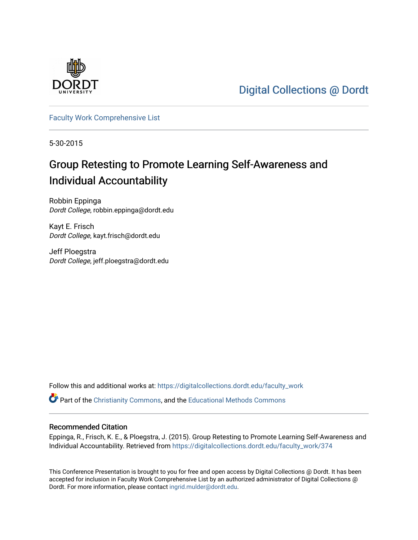

[Digital Collections @ Dordt](https://digitalcollections.dordt.edu/) 

[Faculty Work Comprehensive List](https://digitalcollections.dordt.edu/faculty_work)

5-30-2015

#### Group Retesting to Promote Learning Self-Awareness and Individual Accountability

Robbin Eppinga Dordt College, robbin.eppinga@dordt.edu

Kayt E. Frisch Dordt College, kayt.frisch@dordt.edu

Jeff Ploegstra Dordt College, jeff.ploegstra@dordt.edu

Follow this and additional works at: [https://digitalcollections.dordt.edu/faculty\\_work](https://digitalcollections.dordt.edu/faculty_work?utm_source=digitalcollections.dordt.edu%2Ffaculty_work%2F374&utm_medium=PDF&utm_campaign=PDFCoverPages) 

Part of the [Christianity Commons,](http://network.bepress.com/hgg/discipline/1181?utm_source=digitalcollections.dordt.edu%2Ffaculty_work%2F374&utm_medium=PDF&utm_campaign=PDFCoverPages) and the [Educational Methods Commons](http://network.bepress.com/hgg/discipline/1227?utm_source=digitalcollections.dordt.edu%2Ffaculty_work%2F374&utm_medium=PDF&utm_campaign=PDFCoverPages) 

#### Recommended Citation

Eppinga, R., Frisch, K. E., & Ploegstra, J. (2015). Group Retesting to Promote Learning Self-Awareness and Individual Accountability. Retrieved from [https://digitalcollections.dordt.edu/faculty\\_work/374](https://digitalcollections.dordt.edu/faculty_work/374?utm_source=digitalcollections.dordt.edu%2Ffaculty_work%2F374&utm_medium=PDF&utm_campaign=PDFCoverPages)

This Conference Presentation is brought to you for free and open access by Digital Collections @ Dordt. It has been accepted for inclusion in Faculty Work Comprehensive List by an authorized administrator of Digital Collections @ Dordt. For more information, please contact [ingrid.mulder@dordt.edu.](mailto:ingrid.mulder@dordt.edu)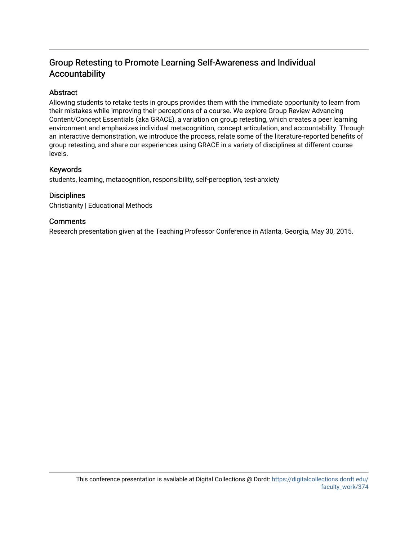#### Group Retesting to Promote Learning Self-Awareness and Individual Accountability

#### Abstract

Allowing students to retake tests in groups provides them with the immediate opportunity to learn from their mistakes while improving their perceptions of a course. We explore Group Review Advancing Content/Concept Essentials (aka GRACE), a variation on group retesting, which creates a peer learning environment and emphasizes individual metacognition, concept articulation, and accountability. Through an interactive demonstration, we introduce the process, relate some of the literature-reported benefits of group retesting, and share our experiences using GRACE in a variety of disciplines at different course levels.

#### Keywords

students, learning, metacognition, responsibility, self-perception, test-anxiety

#### **Disciplines**

Christianity | Educational Methods

#### **Comments**

Research presentation given at the Teaching Professor Conference in Atlanta, Georgia, May 30, 2015.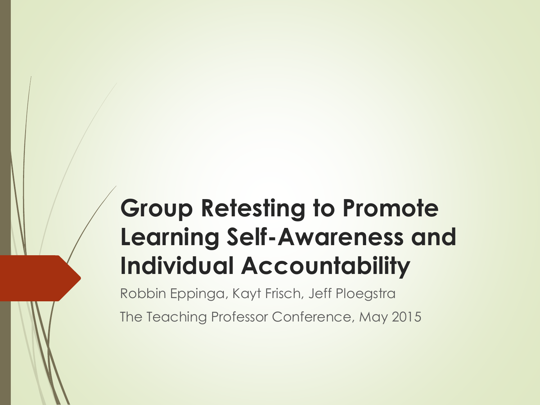#### **Group Retesting to Promote Learning Self-Awareness and Individual Accountability**

Robbin Eppinga, Kayt Frisch, Jeff Ploegstra

The Teaching Professor Conference, May 2015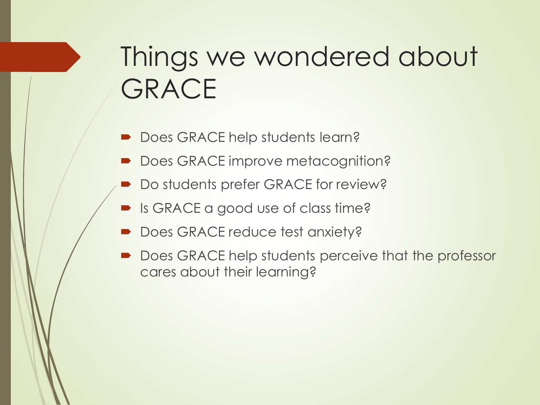# Things we wondered about **GRACE**

- Does GRACE help students learn?
- Does GRACE improve metacognition?
- **Do students prefer GRACE for review?**
- **Is GRACE a good use of class time?**
- Does GRACE reduce test anxiety?
- Does GRACE help students perceive that the professor cares about their learning?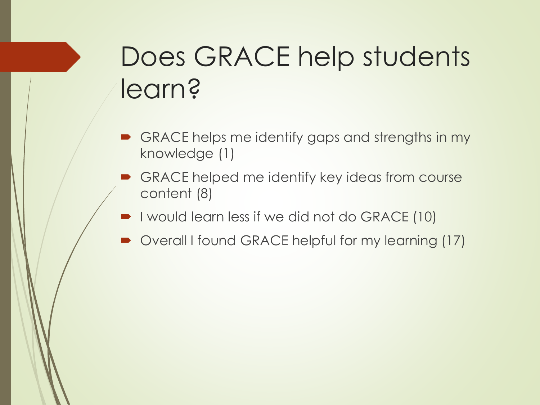# Does GRACE help students learn?

- GRACE helps me identify gaps and strengths in my knowledge (1)
- GRACE helped me identify key ideas from course content (8)
- I would learn less if we did not do GRACE (10)
- Overall I found GRACE helpful for my learning (17)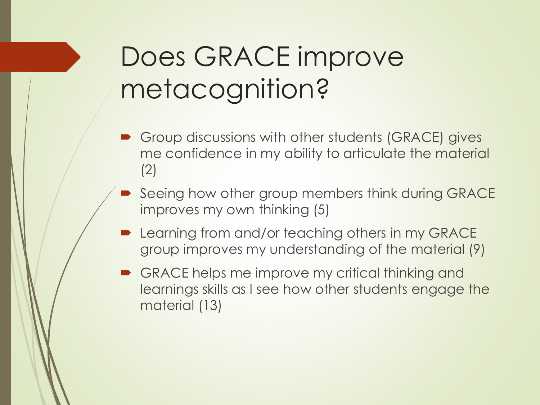# Does GRACE improve metacognition?

- **Group discussions with other students (GRACE) gives** me confidence in my ability to articulate the material (2)
- Seeing how other group members think during GRACE improves my own thinking (5)
- **Learning from and/or teaching others in my GRACE** group improves my understanding of the material (9)
- GRACE helps me improve my critical thinking and learnings skills as I see how other students engage the material (13)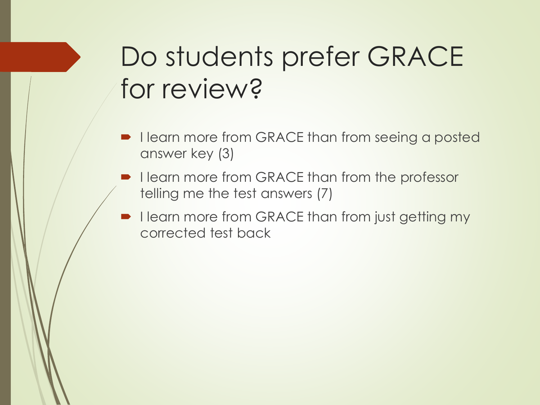# Do students prefer GRACE for review?

- I learn more from GRACE than from seeing a posted answer key (3)
- I learn more from GRACE than from the professor telling me the test answers (7)
- I learn more from GRACE than from just getting my corrected test back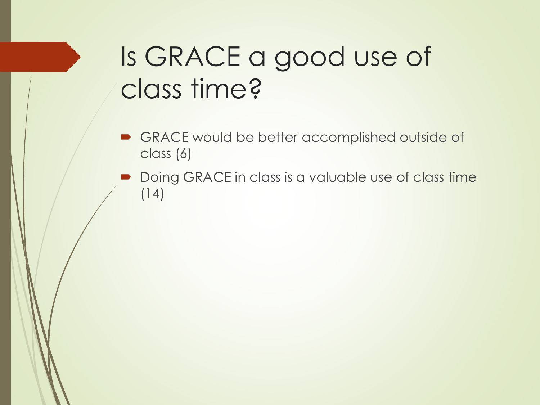### Is GRACE a good use of class time?

- **B** GRACE would be better accomplished outside of class (6)
- Doing GRACE in class is a valuable use of class time (14)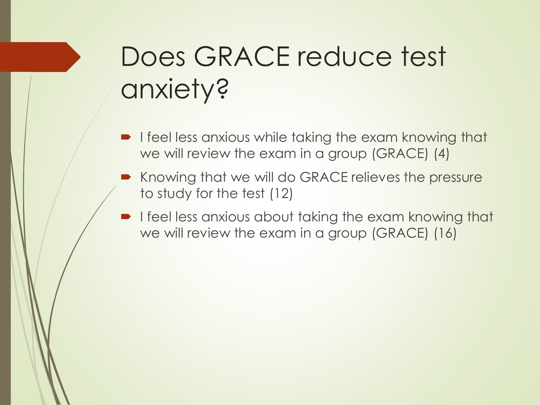# Does GRACE reduce test anxiety?

- I feel less anxious while taking the exam knowing that we will review the exam in a group (GRACE) (4)
- Knowing that we will do GRACE relieves the pressure to study for the test (12)
- **I** feel less anxious about taking the exam knowing that we will review the exam in a group (GRACE) (16)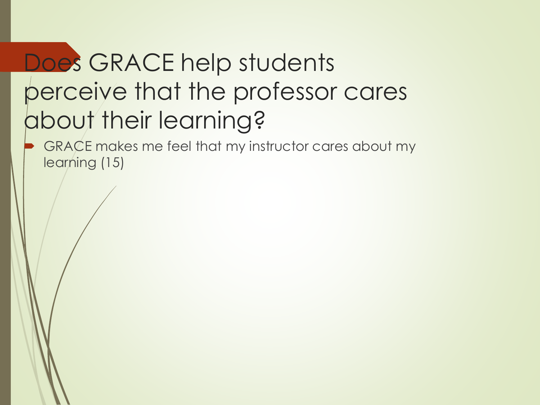### Does GRACE help students perceive that the professor cares about their learning?

 GRACE makes me feel that my instructor cares about my learning (15)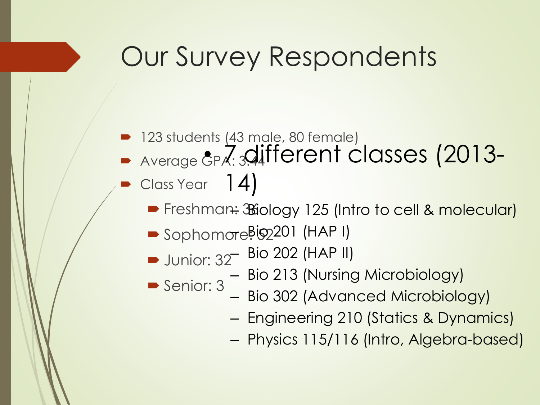### Our Survey Respondents

- 123 students (43 male, 80 female)
- Average &P.Z: 3.different classes (2013-
- Class Year 14)
	- Freshman: Biology 125 (Intro to cell & molecular)
	- Sophomore<sup>Big201</sup> (HAP I)
	- **Junior: 32**  $-$  Bio 202 (HAP II)
	- Senior: 3 – Bio 213 (Nursing Microbiology)
		- Bio 302 (Advanced Microbiology)
		- Engineering 210 (Statics & Dynamics)
		- Physics 115/116 (Intro, Algebra-based)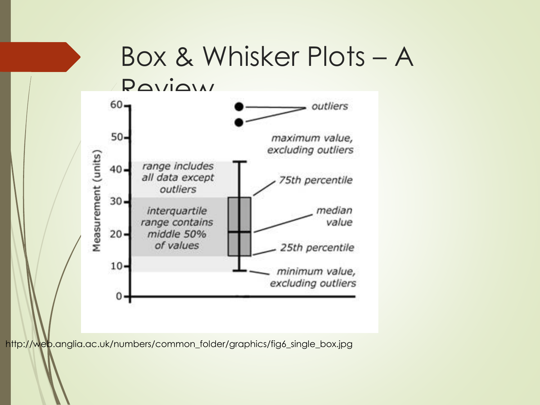

http://web.anglia.ac.uk/numbers/common\_folder/graphics/fig6\_single\_box.jpg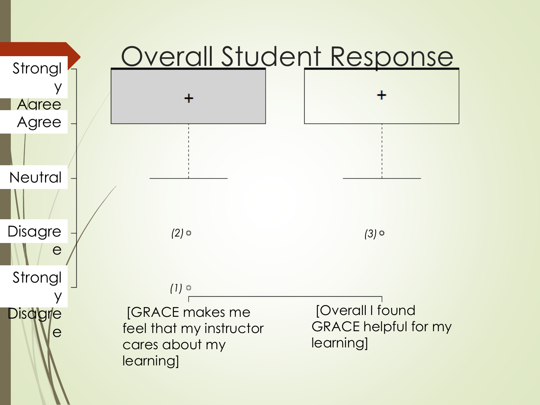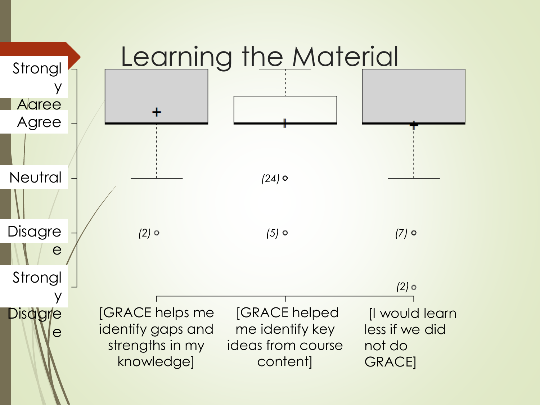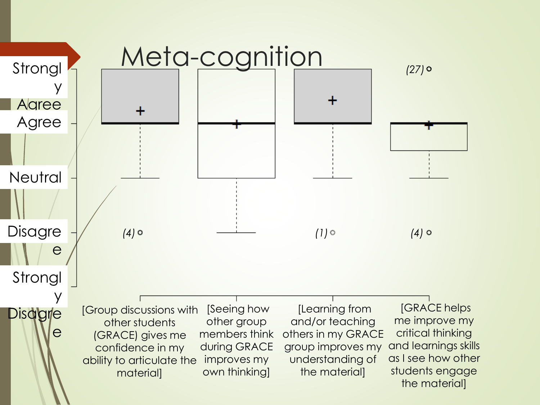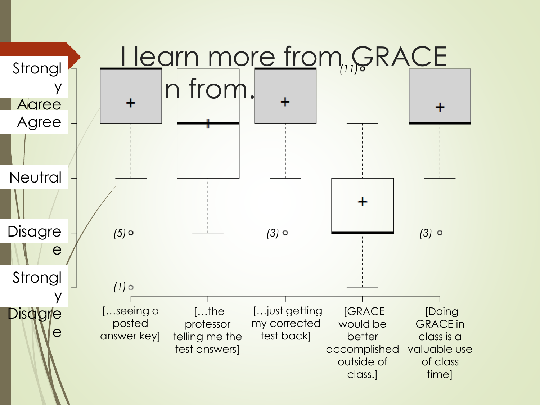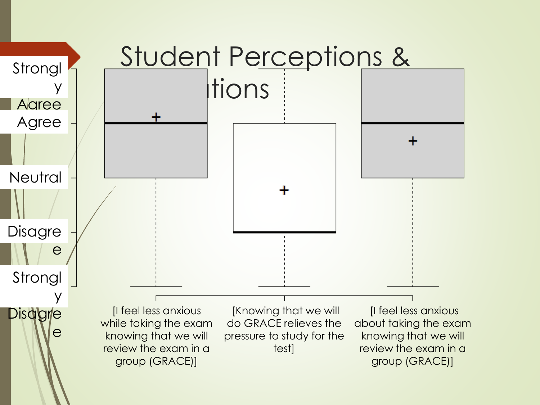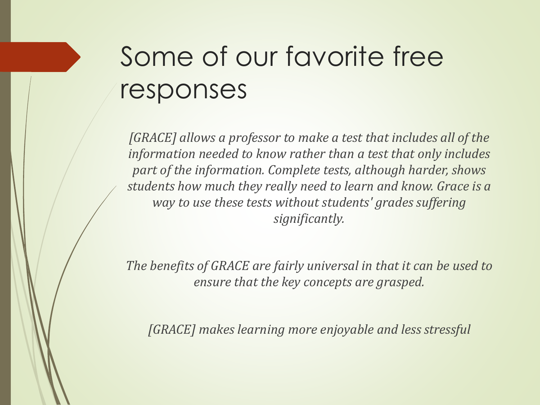# Some of our favorite free responses

*[GRACE] allows a professor to make a test that includes all of the information needed to know rather than a test that only includes part of the information. Complete tests, although harder, shows students how much they really need to learn and know. Grace is a way to use these tests without students' grades suffering significantly.*

*The benefits of GRACE are fairly universal in that it can be used to ensure that the key concepts are grasped.*

*[GRACE] makes learning more enjoyable and less stressful*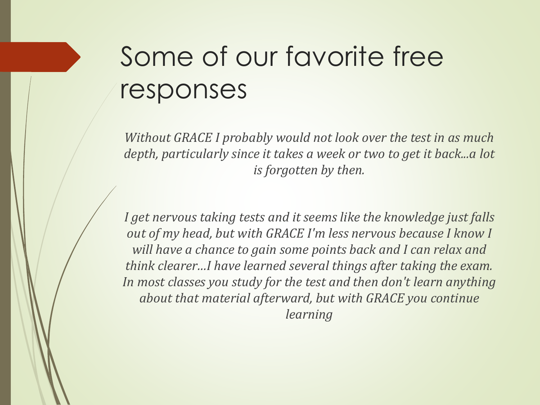# Some of our favorite free responses

*Without GRACE I probably would not look over the test in as much depth, particularly since it takes a week or two to get it back...a lot is forgotten by then.*

*I get nervous taking tests and it seems like the knowledge just falls out of my head, but with GRACE I'm less nervous because I know I will have a chance to gain some points back and I can relax and think clearer…I have learned several things after taking the exam. In most classes you study for the test and then don't learn anything about that material afterward, but with GRACE you continue learning*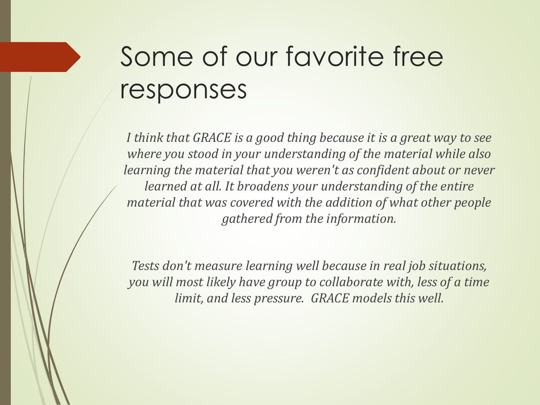# Some of our favorite free responses

*I think that GRACE is a good thing because it is a great way to see where you stood in your understanding of the material while also learning the material that you weren't as confident about or never learned at all. It broadens your understanding of the entire material that was covered with the addition of what other people gathered from the information.*

*Tests don't measure learning well because in real job situations, you will most likely have group to collaborate with, less of a time limit, and less pressure. GRACE models this well.*